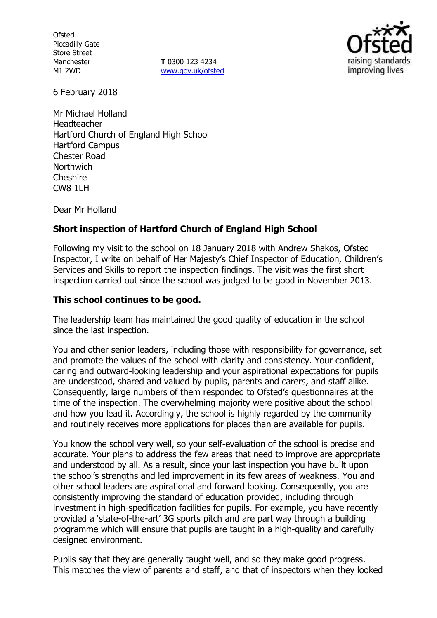**Ofsted** Piccadilly Gate Store Street Manchester M1 2WD

**T** 0300 123 4234 www.gov.uk/ofsted



6 February 2018

Mr Michael Holland Headteacher Hartford Church of England High School Hartford Campus Chester Road **Northwich** Cheshire CW8 1LH

Dear Mr Holland

### **Short inspection of Hartford Church of England High School**

Following my visit to the school on 18 January 2018 with Andrew Shakos, Ofsted Inspector, I write on behalf of Her Majesty's Chief Inspector of Education, Children's Services and Skills to report the inspection findings. The visit was the first short inspection carried out since the school was judged to be good in November 2013.

#### **This school continues to be good.**

The leadership team has maintained the good quality of education in the school since the last inspection.

You and other senior leaders, including those with responsibility for governance, set and promote the values of the school with clarity and consistency. Your confident, caring and outward-looking leadership and your aspirational expectations for pupils are understood, shared and valued by pupils, parents and carers, and staff alike. Consequently, large numbers of them responded to Ofsted's questionnaires at the time of the inspection. The overwhelming majority were positive about the school and how you lead it. Accordingly, the school is highly regarded by the community and routinely receives more applications for places than are available for pupils.

You know the school very well, so your self-evaluation of the school is precise and accurate. Your plans to address the few areas that need to improve are appropriate and understood by all. As a result, since your last inspection you have built upon the school's strengths and led improvement in its few areas of weakness. You and other school leaders are aspirational and forward looking. Consequently, you are consistently improving the standard of education provided, including through investment in high-specification facilities for pupils. For example, you have recently provided a 'state-of-the-art' 3G sports pitch and are part way through a building programme which will ensure that pupils are taught in a high-quality and carefully designed environment.

Pupils say that they are generally taught well, and so they make good progress. This matches the view of parents and staff, and that of inspectors when they looked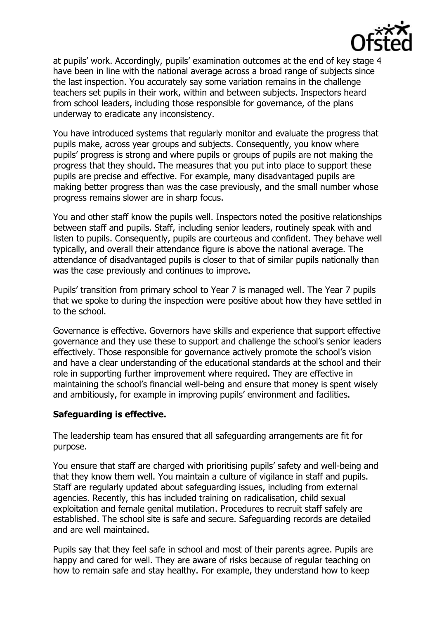

at pupils' work. Accordingly, pupils' examination outcomes at the end of key stage 4 have been in line with the national average across a broad range of subjects since the last inspection. You accurately say some variation remains in the challenge teachers set pupils in their work, within and between subjects. Inspectors heard from school leaders, including those responsible for governance, of the plans underway to eradicate any inconsistency.

You have introduced systems that regularly monitor and evaluate the progress that pupils make, across year groups and subjects. Consequently, you know where pupils' progress is strong and where pupils or groups of pupils are not making the progress that they should. The measures that you put into place to support these pupils are precise and effective. For example, many disadvantaged pupils are making better progress than was the case previously, and the small number whose progress remains slower are in sharp focus.

You and other staff know the pupils well. Inspectors noted the positive relationships between staff and pupils. Staff, including senior leaders, routinely speak with and listen to pupils. Consequently, pupils are courteous and confident. They behave well typically, and overall their attendance figure is above the national average. The attendance of disadvantaged pupils is closer to that of similar pupils nationally than was the case previously and continues to improve.

Pupils' transition from primary school to Year 7 is managed well. The Year 7 pupils that we spoke to during the inspection were positive about how they have settled in to the school.

Governance is effective. Governors have skills and experience that support effective governance and they use these to support and challenge the school's senior leaders effectively. Those responsible for governance actively promote the school's vision and have a clear understanding of the educational standards at the school and their role in supporting further improvement where required. They are effective in maintaining the school's financial well-being and ensure that money is spent wisely and ambitiously, for example in improving pupils' environment and facilities.

### **Safeguarding is effective.**

The leadership team has ensured that all safeguarding arrangements are fit for purpose.

You ensure that staff are charged with prioritising pupils' safety and well-being and that they know them well. You maintain a culture of vigilance in staff and pupils. Staff are regularly updated about safeguarding issues, including from external agencies. Recently, this has included training on radicalisation, child sexual exploitation and female genital mutilation. Procedures to recruit staff safely are established. The school site is safe and secure. Safeguarding records are detailed and are well maintained.

Pupils say that they feel safe in school and most of their parents agree. Pupils are happy and cared for well. They are aware of risks because of regular teaching on how to remain safe and stay healthy. For example, they understand how to keep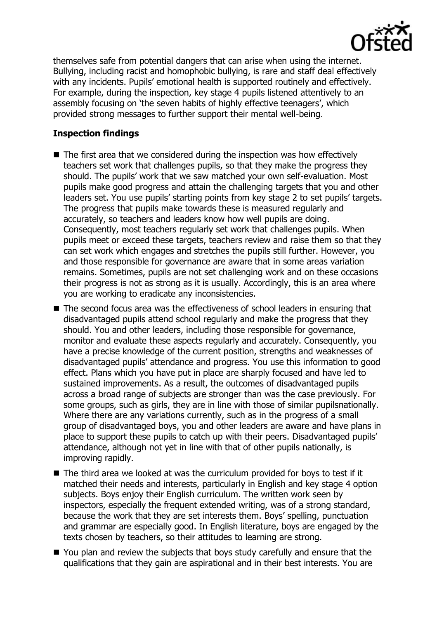

themselves safe from potential dangers that can arise when using the internet. Bullying, including racist and homophobic bullying, is rare and staff deal effectively with any incidents. Pupils' emotional health is supported routinely and effectively. For example, during the inspection, key stage 4 pupils listened attentively to an assembly focusing on 'the seven habits of highly effective teenagers', which provided strong messages to further support their mental well-being.

# **Inspection findings**

- $\blacksquare$  The first area that we considered during the inspection was how effectively teachers set work that challenges pupils, so that they make the progress they should. The pupils' work that we saw matched your own self-evaluation. Most pupils make good progress and attain the challenging targets that you and other leaders set. You use pupils' starting points from key stage 2 to set pupils' targets. The progress that pupils make towards these is measured regularly and accurately, so teachers and leaders know how well pupils are doing. Consequently, most teachers regularly set work that challenges pupils. When pupils meet or exceed these targets, teachers review and raise them so that they can set work which engages and stretches the pupils still further. However, you and those responsible for governance are aware that in some areas variation remains. Sometimes, pupils are not set challenging work and on these occasions their progress is not as strong as it is usually. Accordingly, this is an area where you are working to eradicate any inconsistencies.
- The second focus area was the effectiveness of school leaders in ensuring that disadvantaged pupils attend school regularly and make the progress that they should. You and other leaders, including those responsible for governance, monitor and evaluate these aspects regularly and accurately. Consequently, you have a precise knowledge of the current position, strengths and weaknesses of disadvantaged pupils' attendance and progress. You use this information to good effect. Plans which you have put in place are sharply focused and have led to sustained improvements. As a result, the outcomes of disadvantaged pupils across a broad range of subjects are stronger than was the case previously. For some groups, such as girls, they are in line with those of similar pupilsnationally. Where there are any variations currently, such as in the progress of a small group of disadvantaged boys, you and other leaders are aware and have plans in place to support these pupils to catch up with their peers. Disadvantaged pupils' attendance, although not yet in line with that of other pupils nationally, is improving rapidly.
- The third area we looked at was the curriculum provided for boys to test if it matched their needs and interests, particularly in English and key stage 4 option subjects. Boys enjoy their English curriculum. The written work seen by inspectors, especially the frequent extended writing, was of a strong standard, because the work that they are set interests them. Boys' spelling, punctuation and grammar are especially good. In English literature, boys are engaged by the texts chosen by teachers, so their attitudes to learning are strong.
- You plan and review the subjects that boys study carefully and ensure that the qualifications that they gain are aspirational and in their best interests. You are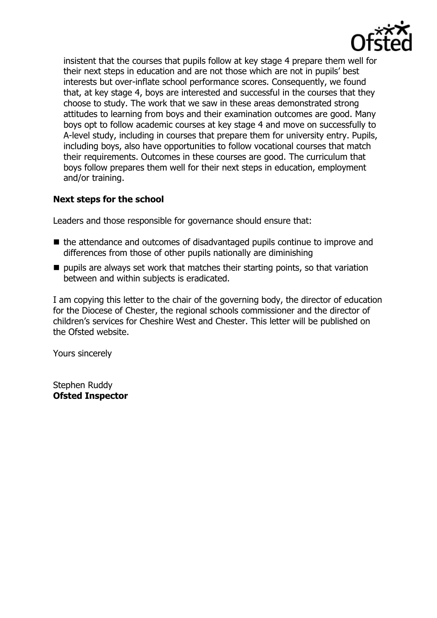

insistent that the courses that pupils follow at key stage 4 prepare them well for their next steps in education and are not those which are not in pupils' best interests but over-inflate school performance scores. Consequently, we found that, at key stage 4, boys are interested and successful in the courses that they choose to study. The work that we saw in these areas demonstrated strong attitudes to learning from boys and their examination outcomes are good. Many boys opt to follow academic courses at key stage 4 and move on successfully to A-level study, including in courses that prepare them for university entry. Pupils, including boys, also have opportunities to follow vocational courses that match their requirements. Outcomes in these courses are good. The curriculum that boys follow prepares them well for their next steps in education, employment and/or training.

## **Next steps for the school**

Leaders and those responsible for governance should ensure that:

- $\blacksquare$  the attendance and outcomes of disadvantaged pupils continue to improve and differences from those of other pupils nationally are diminishing
- pupils are always set work that matches their starting points, so that variation between and within subjects is eradicated.

I am copying this letter to the chair of the governing body, the director of education for the Diocese of Chester, the regional schools commissioner and the director of children's services for Cheshire West and Chester. This letter will be published on the Ofsted website.

Yours sincerely

Stephen Ruddy **Ofsted Inspector**